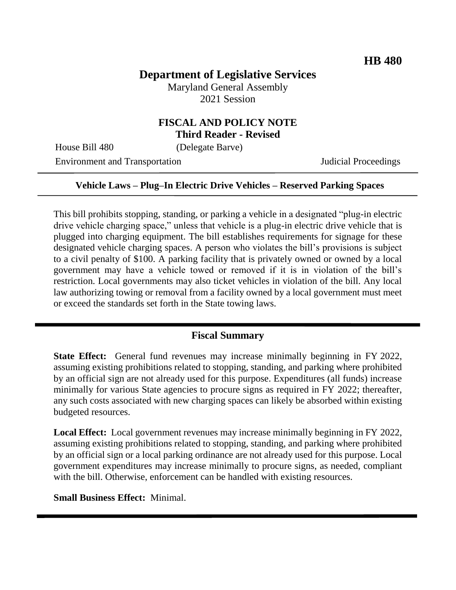# **Department of Legislative Services**

Maryland General Assembly 2021 Session

### **FISCAL AND POLICY NOTE Third Reader - Revised**

House Bill 480 (Delegate Barve)

Environment and Transportation Judicial Proceedings

### **Vehicle Laws – Plug–In Electric Drive Vehicles – Reserved Parking Spaces**

This bill prohibits stopping, standing, or parking a vehicle in a designated "plug-in electric drive vehicle charging space," unless that vehicle is a plug-in electric drive vehicle that is plugged into charging equipment. The bill establishes requirements for signage for these designated vehicle charging spaces. A person who violates the bill's provisions is subject to a civil penalty of \$100. A parking facility that is privately owned or owned by a local government may have a vehicle towed or removed if it is in violation of the bill's restriction. Local governments may also ticket vehicles in violation of the bill. Any local law authorizing towing or removal from a facility owned by a local government must meet or exceed the standards set forth in the State towing laws.

### **Fiscal Summary**

**State Effect:** General fund revenues may increase minimally beginning in FY 2022, assuming existing prohibitions related to stopping, standing, and parking where prohibited by an official sign are not already used for this purpose. Expenditures (all funds) increase minimally for various State agencies to procure signs as required in FY 2022; thereafter, any such costs associated with new charging spaces can likely be absorbed within existing budgeted resources.

**Local Effect:** Local government revenues may increase minimally beginning in FY 2022, assuming existing prohibitions related to stopping, standing, and parking where prohibited by an official sign or a local parking ordinance are not already used for this purpose. Local government expenditures may increase minimally to procure signs, as needed, compliant with the bill. Otherwise, enforcement can be handled with existing resources.

**Small Business Effect:** Minimal.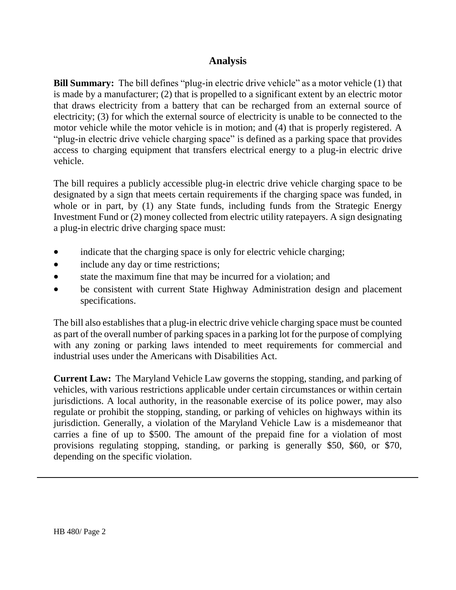## **Analysis**

**Bill Summary:** The bill defines "plug-in electric drive vehicle" as a motor vehicle (1) that is made by a manufacturer; (2) that is propelled to a significant extent by an electric motor that draws electricity from a battery that can be recharged from an external source of electricity; (3) for which the external source of electricity is unable to be connected to the motor vehicle while the motor vehicle is in motion; and (4) that is properly registered. A "plug-in electric drive vehicle charging space" is defined as a parking space that provides access to charging equipment that transfers electrical energy to a plug-in electric drive vehicle.

The bill requires a publicly accessible plug-in electric drive vehicle charging space to be designated by a sign that meets certain requirements if the charging space was funded, in whole or in part, by (1) any State funds, including funds from the Strategic Energy Investment Fund or (2) money collected from electric utility ratepayers. A sign designating a plug-in electric drive charging space must:

- indicate that the charging space is only for electric vehicle charging;
- include any day or time restrictions;
- state the maximum fine that may be incurred for a violation; and
- be consistent with current State Highway Administration design and placement specifications.

The bill also establishes that a plug-in electric drive vehicle charging space must be counted as part of the overall number of parking spaces in a parking lot for the purpose of complying with any zoning or parking laws intended to meet requirements for commercial and industrial uses under the Americans with Disabilities Act.

**Current Law:** The Maryland Vehicle Law governs the stopping, standing, and parking of vehicles, with various restrictions applicable under certain circumstances or within certain jurisdictions. A local authority, in the reasonable exercise of its police power, may also regulate or prohibit the stopping, standing, or parking of vehicles on highways within its jurisdiction. Generally, a violation of the Maryland Vehicle Law is a misdemeanor that carries a fine of up to \$500. The amount of the prepaid fine for a violation of most provisions regulating stopping, standing, or parking is generally \$50, \$60, or \$70, depending on the specific violation.